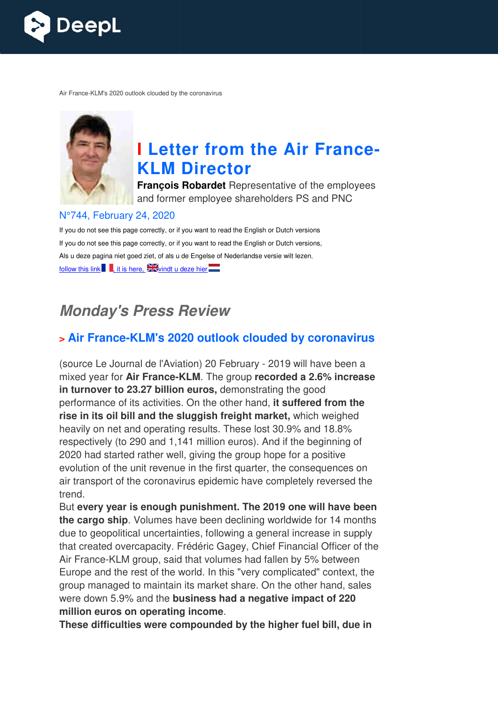

Air France-KLM's 2020 outlook clouded by the coronavirus



# **I** Letter from the Air France-**KLM Director**

**François Robardet** Representative of the employees and former employee shareholders PS and PNC

#### N°744, February 24, 2020

If you do not see this page correctly, or if you want to read the English or Dutch versions If you do not see this page correctly, or if you want to read the English or Dutch versions, Als u deze pagina niet goed ziet, of als u de Engelse of Nederlandse versie wilt lezen, follow this link  $\blacksquare$ , it is here,  $\blacktriangleright$  vindt u deze hier

# *Monday's Press Review*

## **> Air France-KLM's 2020 outlook clouded by coronavirus KLM's**

(source Le Journal de l'Aviation) 20 February - 2019 will have been a mixed year for Air France-KLM. The group recorded a 2.6% increase in turnover to 23.27 billion euros, demonstrating the good performance of its activities. On the other hand, **it suffered from the rise in its oil bill and the sluggish freight market,** which weighed heavily on net and operating results. These lost 30.9% and 18.8% respectively (to 290 and 1,141 million euros). And if the beginning of 2020 had started rather well, giving the group hope for a positive evolution of the unit revenue in the first quarter, the consequences on air transport of the coronavirus epidemic have completely reversed the trend.

But **every year is enough punishment. The 2019 one will have been the cargo ship**. Volumes have been declining worldwide for 14 months due to geopolitical uncertainties, following a general increase in supply that created overcapacity. Frédéric Gagey, Chief Financial Officer of the Air France-KLM group, said that volumes had fallen by 5% between Europe and the rest of the world. In this "very complicated" context, the group managed to maintain its market share. On the other hand, sales were down 5.9% and the **business had a negative impact of 220 million euros on operating income** . KLM group, said that volumes had fallen by 5% between<br>I the rest of the world. In this "very complicated" context, the<br>aged to maintain its market share. On the other hand, sales

**These difficulties were compounded by the higher fuel bill, due in**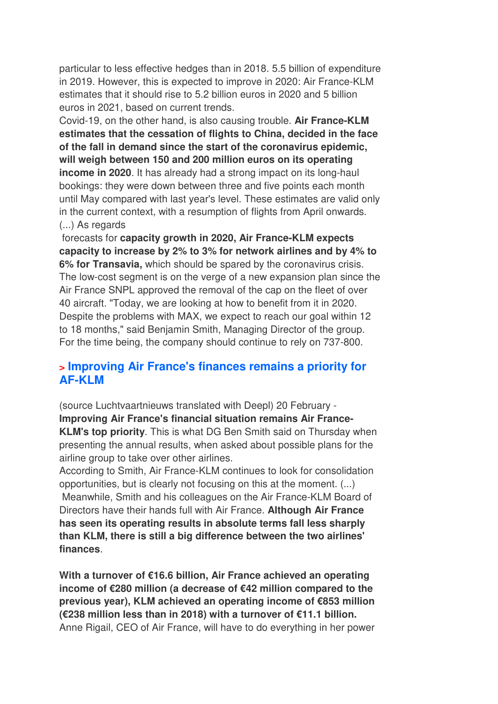particular to less effective hedges than in 2018. 5.5 billion of expenditure in 2019. However, this is expected to improve in 2020: Air France-KLM estimates that it should rise to 5.2 billion euros in 2020 and 5 billion euros in 2021, based on current trends.

Covid-19, on the other hand, is also causing trouble. **Air France-KLM estimates that the cessation of flights to China, decided in the face of the fall in demand since the start of the coronavirus epidemic, will weigh between 150 and 200 million euros on its operating income in 2020**. It has already had a strong impact on its long-haul bookings: they were down between three and five points each month until May compared with last year's level. These estimates are valid only in the current context, with a resumption of flights from April onwards. (...) As regards

 forecasts for **capacity growth in 2020, Air France-KLM expects capacity to increase by 2% to 3% for network airlines and by 4% to 6% for Transavia,** which should be spared by the coronavirus crisis. The low-cost segment is on the verge of a new expansion plan since the Air France SNPL approved the removal of the cap on the fleet of over 40 aircraft. "Today, we are looking at how to benefit from it in 2020. Despite the problems with MAX, we expect to reach our goal within 12 to 18 months," said Benjamin Smith, Managing Director of the group. For the time being, the company should continue to rely on 737-800.

### **> Improving Air France's finances remains a priority for AF-KLM**

(source Luchtvaartnieuws translated with Deepl) 20 February - **Improving Air France's financial situation remains Air France-KLM's top priority**. This is what DG Ben Smith said on Thursday when presenting the annual results, when asked about possible plans for the airline group to take over other airlines.

According to Smith, Air France-KLM continues to look for consolidation opportunities, but is clearly not focusing on this at the moment. (...) Meanwhile, Smith and his colleagues on the Air France-KLM Board of Directors have their hands full with Air France. **Although Air France has seen its operating results in absolute terms fall less sharply than KLM, there is still a big difference between the two airlines' finances**.

**With a turnover of €16.6 billion, Air France achieved an operating income of €280 million (a decrease of €42 million compared to the previous year), KLM achieved an operating income of €853 million (€238 million less than in 2018) with a turnover of €11.1 billion.**  Anne Rigail, CEO of Air France, will have to do everything in her power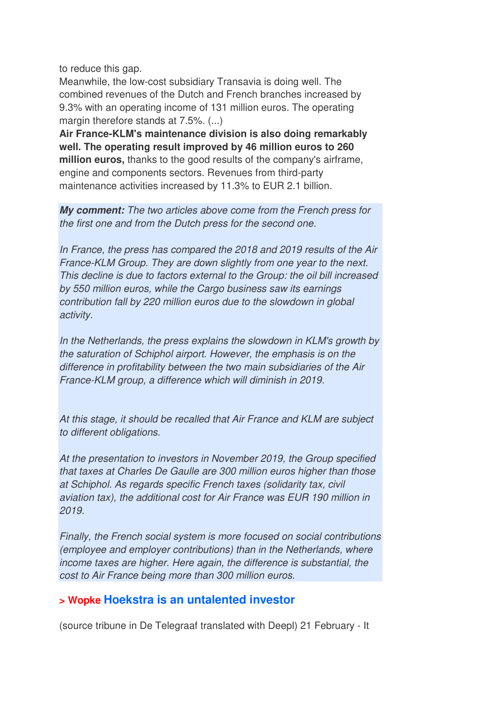to reduce this gap.

Meanwhile, the low-cost subsidiary Transavia is doing well. The combined revenues of the Dutch and French branches increased by 9.3% with an operating income of 131 million euros. The operating margin therefore stands at 7.5%. (...)

**Air France-KLM's maintenance division is also doing remarkably well. The operating result improved by 46 million euros to 260 million euros,** thanks to the good results of the company's airframe, engine and components sectors. Revenues from third-party maintenance activities increased by 11.3% to EUR 2.1 billion.

*My comment:* The two articles above come from the French press for the first one and from the Dutch press for the second one.

In France, the press has compared the 2018 and 2019 results of the Air France-KLM Group. They are down slightly from one year to the next. This decline is due to factors external to the Group: the oil bill increased by 550 million euros, while the Cargo business saw its earnings contribution fall by 220 million euros due to the slowdown in global activity.

In the Netherlands, the press explains the slowdown in KLM's growth by the saturation of Schiphol airport. However, the emphasis is on the difference in profitability between the two main subsidiaries of the Air France-KLM group, a difference which will diminish in 2019.

At this stage, it should be recalled that Air France and KLM are subject to different obligations.

At the presentation to investors in November 2019, the Group specified that taxes at Charles De Gaulle are 300 million euros higher than those at Schiphol. As regards specific French taxes (solidarity tax, civil aviation tax), the additional cost for Air France was EUR 190 million in 2019.

Finally, the French social system is more focused on social contributions (employee and employer contributions) than in the Netherlands, where income taxes are higher. Here again, the difference is substantial, the cost to Air France being more than 300 million euros.

#### **> Wopke Hoekstra is an untalented investor**

(source tribune in De Telegraaf translated with Deepl) 21 February - It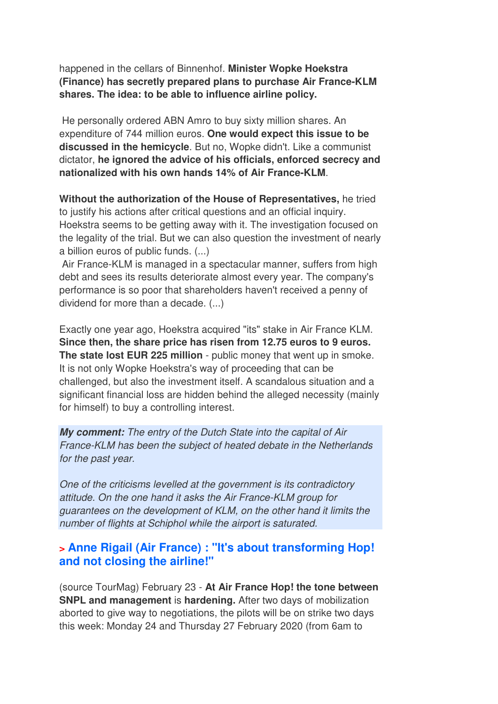happened in the cellars of Binnenhof. **Minister Wopke Hoekstra (Finance) has secretly prepared plans to purchase Air France-KLM shares. The idea: to be able to influence airline policy.** 

 He personally ordered ABN Amro to buy sixty million shares. An expenditure of 744 million euros. **One would expect this issue to be discussed in the hemicycle**. But no, Wopke didn't. Like a communist dictator, **he ignored the advice of his officials, enforced secrecy and nationalized with his own hands 14% of Air France-KLM**.

**Without the authorization of the House of Representatives,** he tried to justify his actions after critical questions and an official inquiry. Hoekstra seems to be getting away with it. The investigation focused on the legality of the trial. But we can also question the investment of nearly a billion euros of public funds. (...)

 Air France-KLM is managed in a spectacular manner, suffers from high debt and sees its results deteriorate almost every year. The company's performance is so poor that shareholders haven't received a penny of dividend for more than a decade. (...)

Exactly one year ago, Hoekstra acquired "its" stake in Air France KLM. **Since then, the share price has risen from 12.75 euros to 9 euros. The state lost EUR 225 million** - public money that went up in smoke. It is not only Wopke Hoekstra's way of proceeding that can be challenged, but also the investment itself. A scandalous situation and a significant financial loss are hidden behind the alleged necessity (mainly for himself) to buy a controlling interest.

*My comment:* The entry of the Dutch State into the capital of Air France-KLM has been the subject of heated debate in the Netherlands for the past year.

One of the criticisms levelled at the government is its contradictory attitude. On the one hand it asks the Air France-KLM group for guarantees on the development of KLM, on the other hand it limits the number of flights at Schiphol while the airport is saturated.

### **> Anne Rigail (Air France) : "It's about transforming Hop! and not closing the airline!"**

(source TourMag) February 23 - **At Air France Hop! the tone between SNPL and management** is **hardening.** After two days of mobilization aborted to give way to negotiations, the pilots will be on strike two days this week: Monday 24 and Thursday 27 February 2020 (from 6am to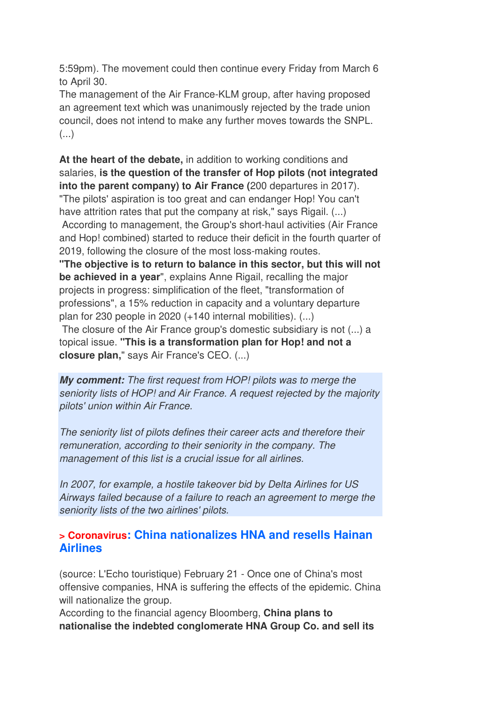5:59pm). The movement could then continue every Friday from March 6 to April 30.

The management of the Air France-KLM group, after having proposed an agreement text which was unanimously rejected by the trade union council, does not intend to make any further moves towards the SNPL.  $\left( \ldots \right)$ 

**At the heart of the debate,** in addition to working conditions and salaries, **is the question of the transfer of Hop pilots (not integrated into the parent company) to Air France (**200 departures in 2017). "The pilots' aspiration is too great and can endanger Hop! You can't

have attrition rates that put the company at risk," says Rigail. (...)

 According to management, the Group's short-haul activities (Air France and Hop! combined) started to reduce their deficit in the fourth quarter of 2019, following the closure of the most loss-making routes.

**"The objective is to return to balance in this sector, but this will not be achieved in a year**", explains Anne Rigail, recalling the major projects in progress: simplification of the fleet, "transformation of professions", a 15% reduction in capacity and a voluntary departure plan for 230 people in 2020 (+140 internal mobilities). (...)

 The closure of the Air France group's domestic subsidiary is not (...) a topical issue. **"This is a transformation plan for Hop! and not a closure plan,**" says Air France's CEO. (...)

*My comment:* The first request from HOP! pilots was to merge the seniority lists of HOP! and Air France. A request rejected by the majority pilots' union within Air France.

The seniority list of pilots defines their career acts and therefore their remuneration, according to their seniority in the company. The management of this list is a crucial issue for all airlines.

In 2007, for example, a hostile takeover bid by Delta Airlines for US Airways failed because of a failure to reach an agreement to merge the seniority lists of the two airlines' pilots.

#### **> Coronavirus: China nationalizes HNA and resells Hainan Airlines**

(source: L'Echo touristique) February 21 - Once one of China's most offensive companies, HNA is suffering the effects of the epidemic. China will nationalize the group.

According to the financial agency Bloomberg, **China plans to nationalise the indebted conglomerate HNA Group Co. and sell its**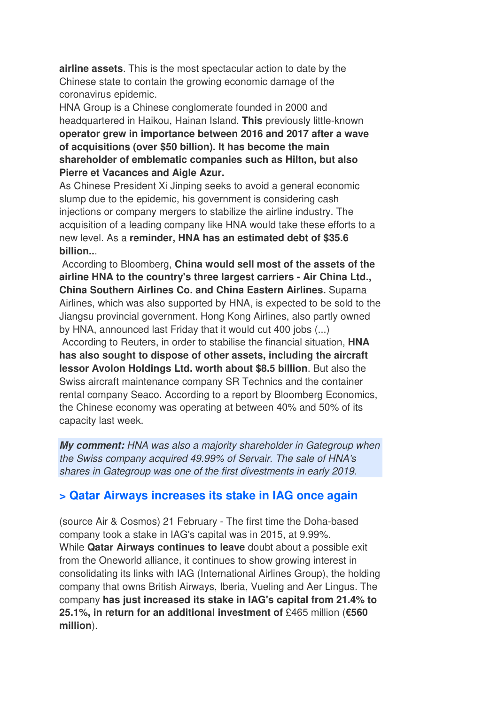**airline assets**. This is the most spectacular action to date by the Chinese state to contain the growing economic damage of the coronavirus epidemic.

HNA Group is a Chinese conglomerate founded in 2000 and headquartered in Haikou, Hainan Island. **This** previously little-known **operator grew in importance between 2016 and 2017 after a wave of acquisitions (over \$50 billion). It has become the main shareholder of emblematic companies such as Hilton, but also Pierre et Vacances and Aigle Azur.** 

As Chinese President Xi Jinping seeks to avoid a general economic slump due to the epidemic, his government is considering cash injections or company mergers to stabilize the airline industry. The acquisition of a leading company like HNA would take these efforts to a new level. As a **reminder, HNA has an estimated debt of \$35.6 billion..**.

 According to Bloomberg, **China would sell most of the assets of the airline HNA to the country's three largest carriers - Air China Ltd., China Southern Airlines Co. and China Eastern Airlines.** Suparna Airlines, which was also supported by HNA, is expected to be sold to the Jiangsu provincial government. Hong Kong Airlines, also partly owned by HNA, announced last Friday that it would cut 400 jobs (...)

 According to Reuters, in order to stabilise the financial situation, **HNA has also sought to dispose of other assets, including the aircraft lessor Avolon Holdings Ltd. worth about \$8.5 billion**. But also the Swiss aircraft maintenance company SR Technics and the container rental company Seaco. According to a report by Bloomberg Economics, the Chinese economy was operating at between 40% and 50% of its capacity last week.

*My comment:* HNA was also a majority shareholder in Gategroup when the Swiss company acquired 49.99% of Servair. The sale of HNA's shares in Gategroup was one of the first divestments in early 2019.

#### **> Qatar Airways increases its stake in IAG once again**

(source Air & Cosmos) 21 February - The first time the Doha-based company took a stake in IAG's capital was in 2015, at 9.99%. While **Qatar Airways continues to leave** doubt about a possible exit from the Oneworld alliance, it continues to show growing interest in consolidating its links with IAG (International Airlines Group), the holding company that owns British Airways, Iberia, Vueling and Aer Lingus. The company **has just increased its stake in IAG's capital from 21.4% to 25.1%, in return for an additional investment of** £465 million (**€560 million**).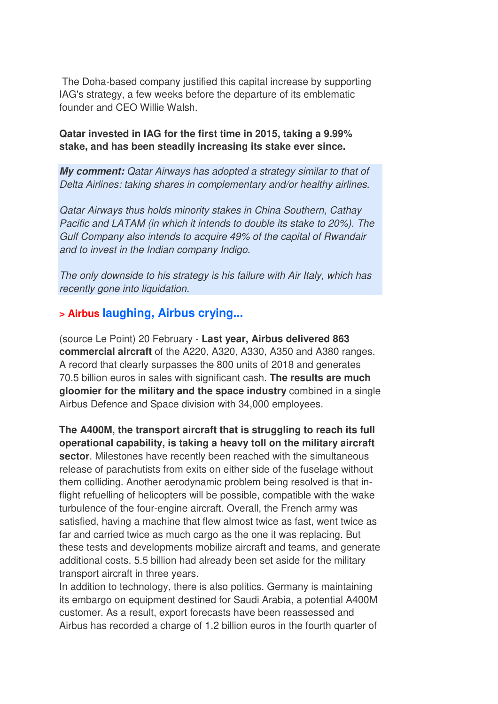The Doha-based company justified this capital increase by supporting IAG's strategy, a few weeks before the departure of its emblematic founder and CEO Willie Walsh.

**Qatar invested in IAG for the first time in 2015, taking a 9.99% stake, and has been steadily increasing its stake ever since.**

*My comment:* Qatar Airways has adopted a strategy similar to that of Delta Airlines: taking shares in complementary and/or healthy airlines.

Qatar Airways thus holds minority stakes in China Southern, Cathay Pacific and LATAM (in which it intends to double its stake to 20%). The Gulf Company also intends to acquire 49% of the capital of Rwandair and to invest in the Indian company Indigo.

The only downside to his strategy is his failure with Air Italy, which has recently gone into liquidation.

#### **> Airbus laughing, Airbus crying...**

(source Le Point) 20 February - **Last year, Airbus delivered 863 commercial aircraft** of the A220, A320, A330, A350 and A380 ranges. A record that clearly surpasses the 800 units of 2018 and generates 70.5 billion euros in sales with significant cash. **The results are much gloomier for the military and the space industry** combined in a single Airbus Defence and Space division with 34,000 employees.

**The A400M, the transport aircraft that is struggling to reach its full operational capability, is taking a heavy toll on the military aircraft sector**. Milestones have recently been reached with the simultaneous release of parachutists from exits on either side of the fuselage without them colliding. Another aerodynamic problem being resolved is that inflight refuelling of helicopters will be possible, compatible with the wake turbulence of the four-engine aircraft. Overall, the French army was satisfied, having a machine that flew almost twice as fast, went twice as far and carried twice as much cargo as the one it was replacing. But these tests and developments mobilize aircraft and teams, and generate additional costs. 5.5 billion had already been set aside for the military transport aircraft in three years.

In addition to technology, there is also politics. Germany is maintaining its embargo on equipment destined for Saudi Arabia, a potential A400M customer. As a result, export forecasts have been reassessed and Airbus has recorded a charge of 1.2 billion euros in the fourth quarter of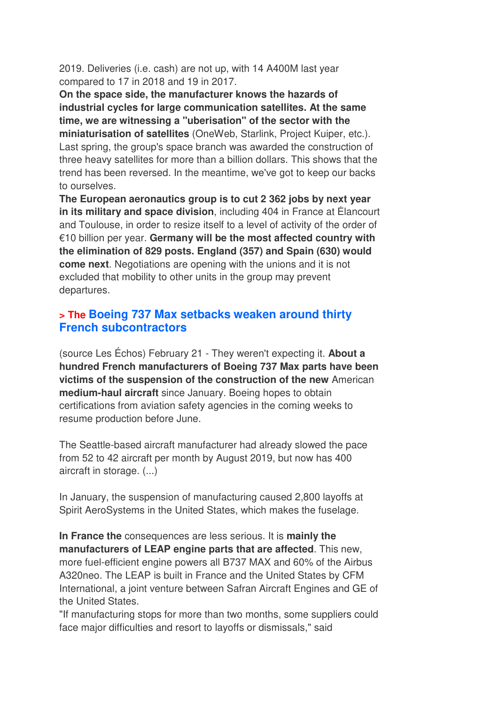2019. Deliveries (i.e. cash) are not up, with 14 A400M last year compared to 17 in 2018 and 19 in 2017.

**On the space side, the manufacturer knows the hazards of industrial cycles for large communication satellites. At the same time, we are witnessing a "uberisation" of the sector with the miniaturisation of satellites** (OneWeb, Starlink, Project Kuiper, etc.). Last spring, the group's space branch was awarded the construction of three heavy satellites for more than a billion dollars. This shows that the trend has been reversed. In the meantime, we've got to keep our backs to ourselves.

**The European aeronautics group is to cut 2 362 jobs by next year in its military and space division**, including 404 in France at Élancourt and Toulouse, in order to resize itself to a level of activity of the order of €10 billion per year. **Germany will be the most affected country with the elimination of 829 posts. England (357) and Spain (630) would come next**. Negotiations are opening with the unions and it is not excluded that mobility to other units in the group may prevent departures.

#### **> The Boeing 737 Max setbacks weaken around thirty French subcontractors**

(source Les Échos) February 21 - They weren't expecting it. **About a hundred French manufacturers of Boeing 737 Max parts have been victims of the suspension of the construction of the new** American **medium-haul aircraft** since January. Boeing hopes to obtain certifications from aviation safety agencies in the coming weeks to resume production before June.

The Seattle-based aircraft manufacturer had already slowed the pace from 52 to 42 aircraft per month by August 2019, but now has 400 aircraft in storage. (...)

In January, the suspension of manufacturing caused 2,800 layoffs at Spirit AeroSystems in the United States, which makes the fuselage.

**In France the** consequences are less serious. It is **mainly the manufacturers of LEAP engine parts that are affected**. This new, more fuel-efficient engine powers all B737 MAX and 60% of the Airbus A320neo. The LEAP is built in France and the United States by CFM International, a joint venture between Safran Aircraft Engines and GE of the United States.

"If manufacturing stops for more than two months, some suppliers could face major difficulties and resort to layoffs or dismissals," said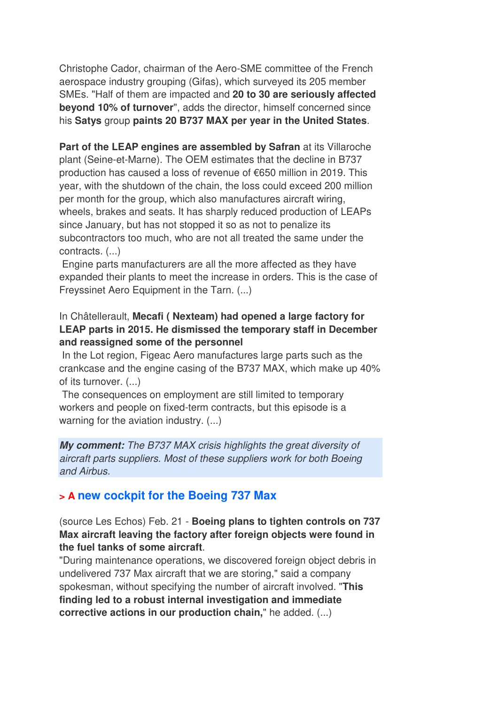Christophe Cador, chairman of the Aero-SME committee of the French aerospace industry grouping (Gifas), which surveyed its 205 member SMEs. "Half of them are impacted and **20 to 30 are seriously affected beyond 10% of turnover**", adds the director, himself concerned since his **Satys** group **paints 20 B737 MAX per year in the United States**.

**Part of the LEAP engines are assembled by Safran** at its Villaroche plant (Seine-et-Marne). The OEM estimates that the decline in B737 production has caused a loss of revenue of €650 million in 2019. This year, with the shutdown of the chain, the loss could exceed 200 million per month for the group, which also manufactures aircraft wiring, wheels, brakes and seats. It has sharply reduced production of LEAPs since January, but has not stopped it so as not to penalize its subcontractors too much, who are not all treated the same under the contracts. (...)

 Engine parts manufacturers are all the more affected as they have expanded their plants to meet the increase in orders. This is the case of Freyssinet Aero Equipment in the Tarn. (...)

#### In Châtellerault, **Mecafi ( Nexteam) had opened a large factory for LEAP parts in 2015. He dismissed the temporary staff in December and reassigned some of the personnel**

 In the Lot region, Figeac Aero manufactures large parts such as the crankcase and the engine casing of the B737 MAX, which make up 40% of its turnover. (...)

 The consequences on employment are still limited to temporary workers and people on fixed-term contracts, but this episode is a warning for the aviation industry. (...)

*My comment:* The B737 MAX crisis highlights the great diversity of aircraft parts suppliers. Most of these suppliers work for both Boeing and Airbus.

### **> A new cockpit for the Boeing 737 Max**

(source Les Echos) Feb. 21 - **Boeing plans to tighten controls on 737 Max aircraft leaving the factory after foreign objects were found in the fuel tanks of some aircraft**.

"During maintenance operations, we discovered foreign object debris in undelivered 737 Max aircraft that we are storing," said a company spokesman, without specifying the number of aircraft involved. "**This finding led to a robust internal investigation and immediate corrective actions in our production chain,**" he added. (...)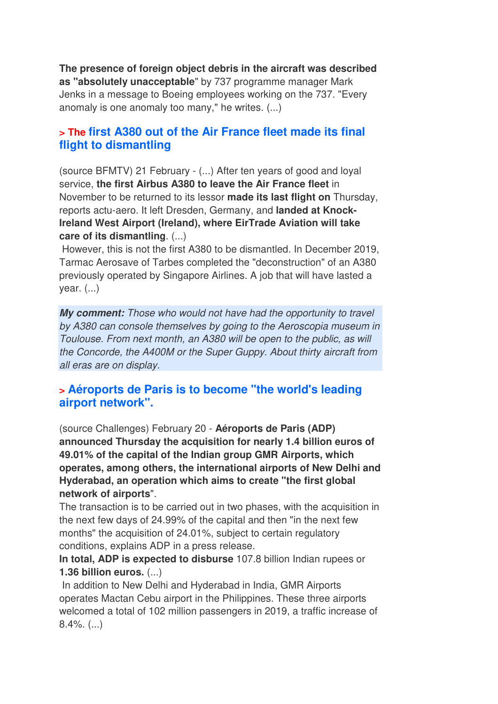**The presence of foreign object debris in the aircraft was described as "absolutely unacceptable**" by 737 programme manager Mark Jenks in a message to Boeing employees working on the 737. "Every anomaly is one anomaly too many," he writes. (...)

#### **> The first A380 out of the Air France fleet made its final flight to dismantling**

(source BFMTV) 21 February - (...) After ten years of good and loyal service, **the first Airbus A380 to leave the Air France fleet** in November to be returned to its lessor **made its last flight on** Thursday, reports actu-aero. It left Dresden, Germany, and **landed at Knock-Ireland West Airport (Ireland), where EirTrade Aviation will take care of its dismantling**. (...)

 However, this is not the first A380 to be dismantled. In December 2019, Tarmac Aerosave of Tarbes completed the "deconstruction" of an A380 previously operated by Singapore Airlines. A job that will have lasted a year. (...)

*My comment:* Those who would not have had the opportunity to travel by A380 can console themselves by going to the Aeroscopia museum in Toulouse. From next month, an A380 will be open to the public, as will the Concorde, the A400M or the Super Guppy. About thirty aircraft from all eras are on display.

#### **> Aéroports de Paris is to become "the world's leading airport network".**

(source Challenges) February 20 - **Aéroports de Paris (ADP) announced Thursday the acquisition for nearly 1.4 billion euros of 49.01% of the capital of the Indian group GMR Airports, which operates, among others, the international airports of New Delhi and Hyderabad, an operation which aims to create "the first global network of airports**".

The transaction is to be carried out in two phases, with the acquisition in the next few days of 24.99% of the capital and then "in the next few months" the acquisition of 24.01%, subject to certain regulatory conditions, explains ADP in a press release.

**In total, ADP is expected to disburse** 107.8 billion Indian rupees or **1.36 billion euros.** (...)

 In addition to New Delhi and Hyderabad in India, GMR Airports operates Mactan Cebu airport in the Philippines. These three airports welcomed a total of 102 million passengers in 2019, a traffic increase of 8.4%. (...)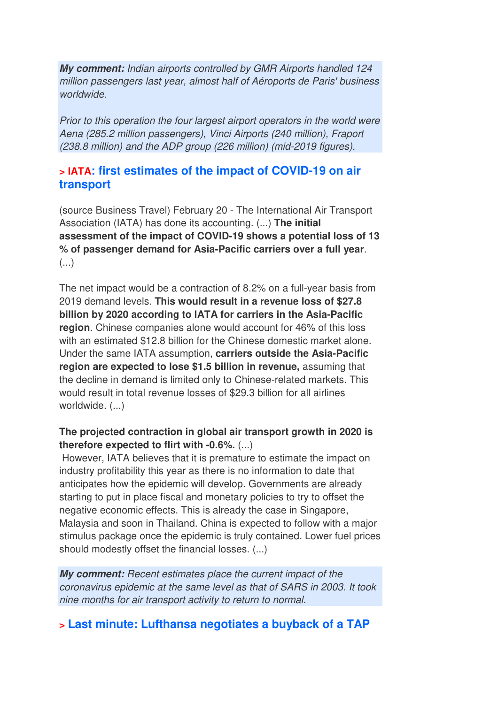*My comment:* Indian airports controlled by GMR Airports handled 124 million passengers last year, almost half of Aéroports de Paris' business worldwide.

Prior to this operation the four largest airport operators in the world were Aena (285.2 million passengers), Vinci Airports (240 million), Fraport (238.8 million) and the ADP group (226 million) (mid-2019 figures).

#### **> IATA: first estimates of the impact of COVID-19 on air transport**

(source Business Travel) February 20 - The International Air Transport Association (IATA) has done its accounting. (...) **The initial assessment of the impact of COVID-19 shows a potential loss of 13 % of passenger demand for Asia-Pacific carriers over a full year**.  $\left( \ldots \right)$ 

The net impact would be a contraction of 8.2% on a full-year basis from 2019 demand levels. **This would result in a revenue loss of \$27.8 billion by 2020 according to IATA for carriers in the Asia-Pacific region**. Chinese companies alone would account for 46% of this loss with an estimated \$12.8 billion for the Chinese domestic market alone. Under the same IATA assumption, **carriers outside the Asia-Pacific region are expected to lose \$1.5 billion in revenue,** assuming that the decline in demand is limited only to Chinese-related markets. This would result in total revenue losses of \$29.3 billion for all airlines worldwide. (...)

#### **The projected contraction in global air transport growth in 2020 is therefore expected to flirt with -0.6%.** (...)

 However, IATA believes that it is premature to estimate the impact on industry profitability this year as there is no information to date that anticipates how the epidemic will develop. Governments are already starting to put in place fiscal and monetary policies to try to offset the negative economic effects. This is already the case in Singapore, Malaysia and soon in Thailand. China is expected to follow with a major stimulus package once the epidemic is truly contained. Lower fuel prices should modestly offset the financial losses. (...)

*My comment:* Recent estimates place the current impact of the coronavirus epidemic at the same level as that of SARS in 2003. It took nine months for air transport activity to return to normal.

# **> Last minute: Lufthansa negotiates a buyback of a TAP**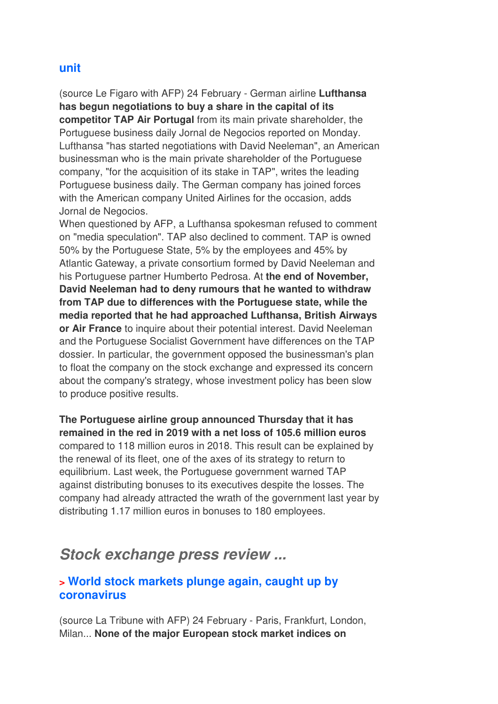#### **unit**

(source Le Figaro with AFP) 24 February - German airline **Lufthansa has begun negotiations to buy a share in the capital of its competitor TAP Air Portugal** from its main private shareholder, the Portuguese business daily Jornal de Negocios reported on Monday. Lufthansa "has started negotiations with David Neeleman", an American businessman who is the main private shareholder of the Portuguese company, "for the acquisition of its stake in TAP", writes the leading Portuguese business daily. The German company has joined forces with the American company United Airlines for the occasion, adds Jornal de Negocios.

When questioned by AFP, a Lufthansa spokesman refused to comment on "media speculation". TAP also declined to comment. TAP is owned 50% by the Portuguese State, 5% by the employees and 45% by Atlantic Gateway, a private consortium formed by David Neeleman and his Portuguese partner Humberto Pedrosa. At **the end of November, David Neeleman had to deny rumours that he wanted to withdraw from TAP due to differences with the Portuguese state, while the media reported that he had approached Lufthansa, British Airways or Air France** to inquire about their potential interest. David Neeleman and the Portuguese Socialist Government have differences on the TAP dossier. In particular, the government opposed the businessman's plan to float the company on the stock exchange and expressed its concern about the company's strategy, whose investment policy has been slow to produce positive results.

**The Portuguese airline group announced Thursday that it has remained in the red in 2019 with a net loss of 105.6 million euros** compared to 118 million euros in 2018. This result can be explained by the renewal of its fleet, one of the axes of its strategy to return to equilibrium. Last week, the Portuguese government warned TAP against distributing bonuses to its executives despite the losses. The company had already attracted the wrath of the government last year by distributing 1.17 million euros in bonuses to 180 employees.

# *Stock exchange press review ...*

## **> World stock markets plunge again, caught up by coronavirus**

(source La Tribune with AFP) 24 February - Paris, Frankfurt, London, Milan... **None of the major European stock market indices on**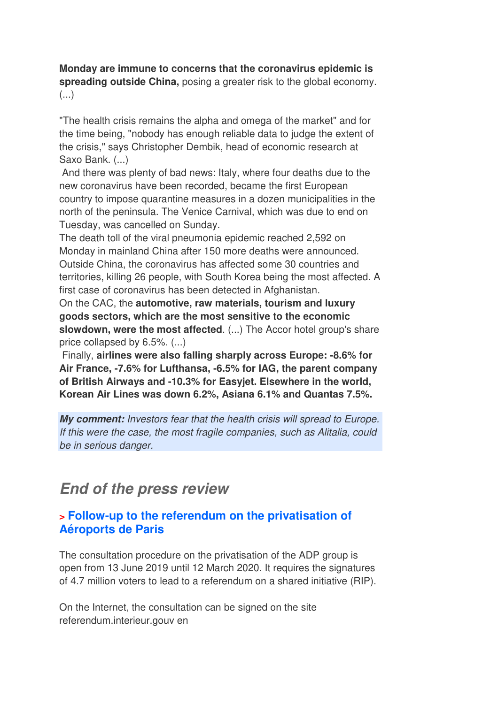#### **Monday are immune to concerns that the coronavirus epidemic is spreading outside China,** posing a greater risk to the global economy. (...)

"The health crisis remains the alpha and omega of the market" and for the time being, "nobody has enough reliable data to judge the extent of the crisis," says Christopher Dembik, head of economic research at Saxo Bank. (...)

 And there was plenty of bad news: Italy, where four deaths due to the new coronavirus have been recorded, became the first European country to impose quarantine measures in a dozen municipalities in the north of the peninsula. The Venice Carnival, which was due to end on Tuesday, was cancelled on Sunday.

The death toll of the viral pneumonia epidemic reached 2,592 on Monday in mainland China after 150 more deaths were announced. Outside China, the coronavirus has affected some 30 countries and territories, killing 26 people, with South Korea being the most affected. A first case of coronavirus has been detected in Afghanistan.

On the CAC, the **automotive, raw materials, tourism and luxury goods sectors, which are the most sensitive to the economic slowdown, were the most affected**. (...) The Accor hotel group's share price collapsed by 6.5%. (...)

 Finally, **airlines were also falling sharply across Europe: -8.6% for Air France, -7.6% for Lufthansa, -6.5% for IAG, the parent company of British Airways and -10.3% for Easyjet. Elsewhere in the world, Korean Air Lines was down 6.2%, Asiana 6.1% and Quantas 7.5%.**

*My comment:* Investors fear that the health crisis will spread to Europe. If this were the case, the most fragile companies, such as Alitalia, could be in serious danger.

# *End of the press review*

## **> Follow-up to the referendum on the privatisation of Aéroports de Paris**

The consultation procedure on the privatisation of the ADP group is open from 13 June 2019 until 12 March 2020. It requires the signatures of 4.7 million voters to lead to a referendum on a shared initiative (RIP).

On the Internet, the consultation can be signed on the site referendum.interieur.gouv en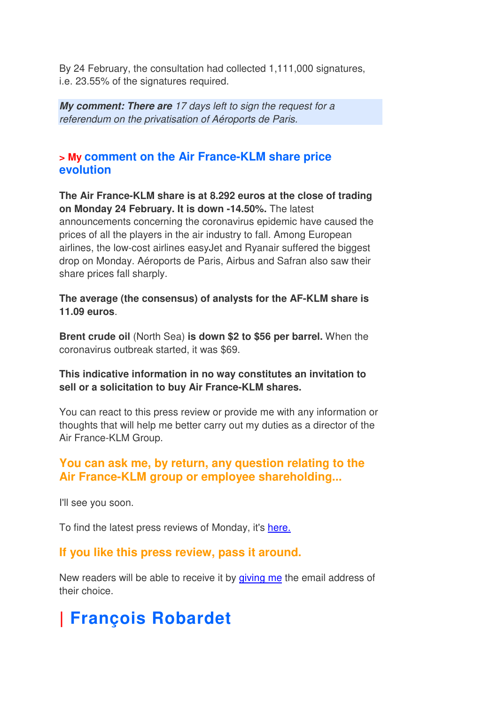By 24 February, the consultation had collected 1,111,000 signatures, i.e. 23.55% of the signatures required.

*My comment: There are* 17 days left to sign the request for a referendum on the privatisation of Aéroports de Paris.

## **> My comment on the Air France-KLM share price evolution**

**The Air France-KLM share is at 8.292 euros at the close of trading on Monday 24 February. It is down -14.50%.** The latest announcements concerning the coronavirus epidemic have caused the prices of all the players in the air industry to fall. Among European airlines, the low-cost airlines easyJet and Ryanair suffered the biggest drop on Monday. Aéroports de Paris, Airbus and Safran also saw their share prices fall sharply.

**The average (the consensus) of analysts for the AF-KLM share is 11.09 euros**.

**Brent crude oil** (North Sea) **is down \$2 to \$56 per barrel.** When the coronavirus outbreak started, it was \$69.

#### **This indicative information in no way constitutes an invitation to sell or a solicitation to buy Air France-KLM shares.**

You can react to this press review or provide me with any information or thoughts that will help me better carry out my duties as a director of the Air France-KLM Group.

### **You can ask me, by return, any question relating to the Air France-KLM group or employee shareholding...**

I'll see you soon.

To find the latest press reviews of Monday, it's here.

### **If you like this press review, pass it around.**

New readers will be able to receive it by giving me the email address of their choice.

# **| François Robardet**